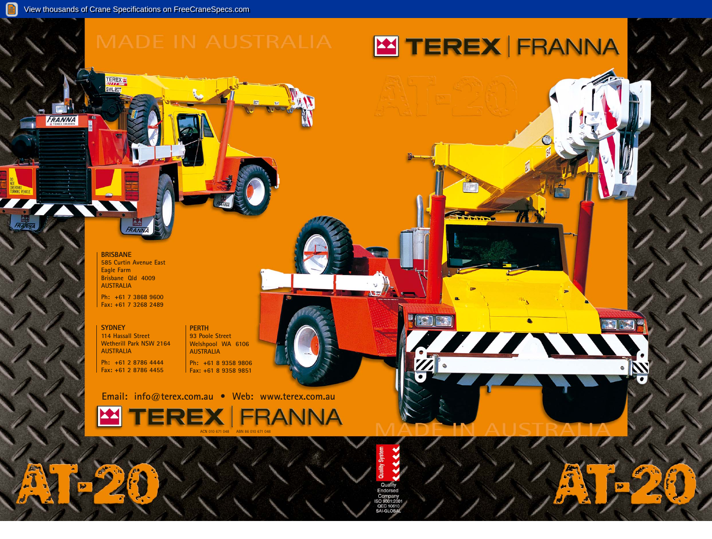**BRISBANE 585 Curtin Avenue East Eagle Farm Brisbane Qld 4009 AUSTRALIA**

**Ph: +61 7 3868 9600 Fax: +61 7 3268 2489**

# **SYDNEY**

**114 Hassall Street Wetherill Park NSW 2164 AUSTRALIA Ph: +61 2 8786 4444 Fax: +61 2 8786 4455**

## **PERTH 93 Poole Street**

**Welshpool WA 6106 AUSTRALIA Ph: +61 8 9358 9806 Fax: +61 8 9358 9851**

**Email: info@terex.com.au • Web: www.terex.com.au**







**TEREX<sup>I</sup>TE** 

FRANNA

# **M TEREX FRANNA**

**E** 

777